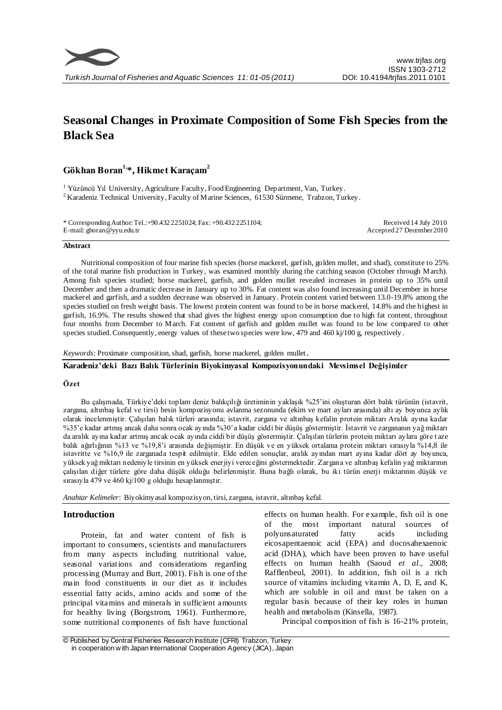

# **Seasonal Changes in Proximate Composition of Some Fish Species from the Black Sea**

**Gökhan Boran1,\*, Hikmet Karaçam<sup>2</sup>**

<sup>1</sup> Yüzüncü Yıl University, Agriculture Faculty, Food Engineering Department, Van, Turkey.  $2$ Karadeniz Technical University, Faculty of Marine Sciences, 61530 Sürmene, Trabzon, Turkey.

\* Corresponding Author: Tel.:+90.432 2251024; Fax: +90.432 2251104; E-mail: gboran@yyu.edu.tr

Received 14 July 2010 Accepted 27 December 2010

#### **Abstract**

Nutritional composition of four marine fish species (horse mackerel, garfish, golden mullet, and shad), constitute to 25% of the total marine fish production in Turkey, was examined monthly during the catching season (October through March). Among fish species studied; horse mackerel, garfish, and golden mullet revealed increases in protein up to 35% until December and then a dramatic decrease in January up to 30%. Fat content was also found increasing until December in horse mackerel and garfish, and a sudden decrease was observed in January. Protein content varied between 13.0-19.8% among the species studied on fresh weight basis. The lowest protein content was found to be in horse mackerel, 14.8% and the highest in garfish, 16.9%. The results showed that shad gives the highest energy upon consumption due to high fat content, throughout four months from December to March. Fat content of garfish and golden mullet was found to be low compared to other species studied. Consequently, energy values of these two species were low, 479 and 460 kj/100 g, respectively.

*Keywords*: Proximate composition, shad, garfish, horse mackerel, golden mullet.

## **Karadeniz'deki Bazı Balık Türlerinin Biyokimyasal Kompozisyonundaki Mevsimsel Değişimler**

#### **Özet**

Bu çalışmada, Türkiye'deki toplam deniz balıkçılığı üretiminin yaklaşık %25'ini oluşturan dört balık türünün (istavrit, zargana, altınbaş kefal ve tirsi) besin kompozisyonu avlanma sezonunda (ekim ve mart ayları arasında) altı ay boyunca aylık olarak incelenmiştir. Çalışılan balık türleri arasında; istavrit, zargana ve altınbaş kefalin protein miktarı Aralık ayına kadar %35'e kadar artmış ancak daha sonra ocak ayında %30'a kadar ciddi bir düşüş göstermiştir. İstavrit ve zargananın yağ miktarı da aralık ayına kadar artmış ancak ocak ayında ciddi bir düşüş göstermiştir. Çalışılan türlerin protein miktarı aylara göre t aze balık ağırlığının %13 ve %19,8'i arasında değişmiştir. En düşük ve en yüksek ortalama protein miktarı sırasıyla %14,8 ile istavritte ve %16,9 ile zarganada tespit edilmiştir. Elde edilen sonuçlar, aralık ayından mart ayına kadar dört ay boyunca, yüksek yağ miktarı nedeniyle tirsinin en yüksek enerjiyi vereceğini göstermektedir. Zargana ve altınbaş kefalin yağ miktarının çalışılan diğer türlere göre daha düşük olduğu belirlenmiştir. Buna bağlı olarak, bu iki türün enerji miktarının düşük ve sırasıyla 479 ve 460 kj/100 g olduğu hesaplanmıştır.

*Anahtar Kelimeler*: Biyokimyasal kompozisyon, tirsi, zargana, istavrit, altınbaş kefal.

#### **Introduction**

Protein, fat and water content of fish is important to consumers, scientists and manufacturers from many aspects including nutritional value, seasonal variations and considerations regarding processing (Murray and Burt, 2001). Fish is one of the main food constituents in our diet as it includes essential fatty acids, amino acids and some of the principal vitamins and minerals in sufficient amounts for healthy living (Borgstrom, 1961). Furthermore, some nutritional components of fish have functional

effects on human health. For example, fish oil is one of the most important natural sources of polyunsaturated fatty acids including eicosapentaenoic acid (EPA) and docosahexaenoic acid (DHA), which have been proven to have useful effects on human health (Saoud *et al*., 2008; Rafflenbeul, 2001). In addition, fish oil is a rich source of vitamins including vitamin A, D, E, and K, which are soluble in oil and must be taken on a regular basis because of their key roles in human health and metabolism (Kinsella, 1987).

Principal composition of fish is 16-21% protein,

<sup>©</sup> Published by Central Fisheries Research Institute (CFRI) Trabzon, Turkey in cooperation w ith Japan International Cooperation Agency (JICA), Japan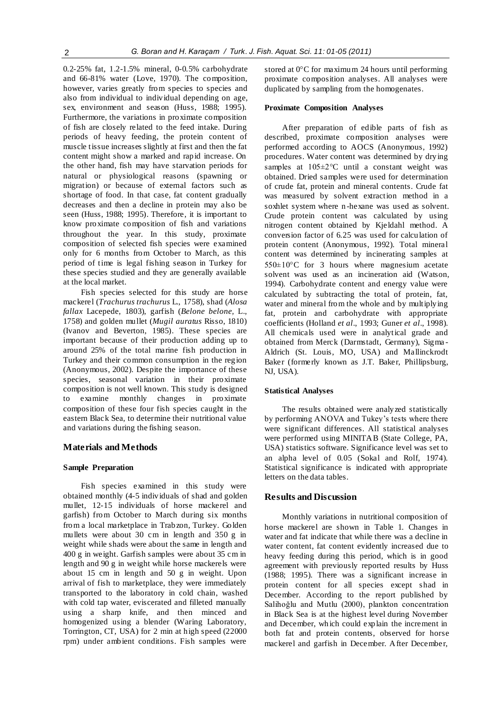0.2-25% fat, 1.2-1.5% mineral, 0-0.5% carbohydrate and 66-81% water (Love, 1970). The composition, however, varies greatly from species to species and also from individual to individual depending on age, sex, environment and season (Huss, 1988; 1995). Furthermore, the variations in proximate composition of fish are closely related to the feed intake. During periods of heavy feeding, the protein content of muscle tissue increases slightly at first and then the fat content might show a marked and rapid increase. On the other hand, fish may have starvation periods for natural or physiological reasons (spawning or migration) or because of external factors such as shortage of food. In that case, fat content gradually decreases and then a decline in protein may also be seen (Huss, 1988; 1995). Therefore, it is important to know proximate composition of fish and variations throughout the year. In this study, proximate composition of selected fish species were examined only for 6 months from October to March, as this period of time is legal fishing season in Turkey for these species studied and they are generally available at the local market.

Fish species selected for this study are horse mackerel (*Trachurus trachurus* L., 1758), shad (*Alosa fallax* Lacepede, 1803), garfish (*Belone belone,* L., 1758) and golden mullet (*Mugil auratus* Risso, 1810) (Ivanov and Beverton, 1985). These species are important because of their production adding up to around 25% of the total marine fish production in Turkey and their common consumption in the region (Anonymous, 2002). Despite the importance of these species, seasonal variation in their proximate composition is not well known. This study is designed to examine monthly changes in proximate composition of these four fish species caught in the eastern Black Sea, to determine their nutritional value and variations during the fishing season.

# **Materials and Methods**

# **Sample Preparation**

Fish species examined in this study were obtained monthly (4-5 individuals of shad and golden mullet, 12-15 individuals of horse mackerel and garfish) from October to March during six months from a local marketplace in Trabzon, Turkey. Golden mullets were about 30 cm in length and 350 g in weight while shads were about the same in length and 400 g in weight. Garfish samples were about 35 cm in length and 90 g in weight while horse mackerels were about 15 cm in length and 50 g in weight. Upon arrival of fish to marketplace, they were immediately transported to the laboratory in cold chain, washed with cold tap water, eviscerated and filleted manually using a sharp knife, and then minced and homogenized using a blender (Waring Laboratory, Torrington, CT, USA) for 2 min at high speed (22000 rpm) under ambient conditions. Fish samples were

stored at  $0^{\circ}$ C for maximum 24 hours until performing proximate composition analyses. All analyses were duplicated by sampling from the homogenates.

#### **Proximate Composition Analyses**

After preparation of edible parts of fish as described, proximate composition analyses were performed according to AOCS (Anonymous, 1992) procedures. Water content was determined by drying samples at  $105 \pm 2^{\circ}$ C until a constant weight was obtained. Dried samples were used for determination of crude fat, protein and mineral contents. Crude fat was measured by solvent extraction method in a soxhlet system where n -hexane was used as solvent. Crude protein content was calculated by using nitrogen content obtained by Kjeldahl method. A conversion factor of 6.25 was used for calculation of protein content (Anonymous, 1992). Total mineral content was determined by incinerating samples at  $550\pm10^{\circ}$ C for 3 hours where magnesium acetate solvent was used as an incineration aid (Watson, 1994). Carbohydrate content and energy value were calculated by subtracting the total of protein, fat, water and mineral from the whole and by multiplying fat, protein and carbohydrate with appropriate coefficients (Holland *et al*., 1993; Guner *et al*., 1998). All chemicals used were in analytical grade and obtained from Merck (Darmstadt, Germany), Sigma - Aldrich (St. Louis, MO, USA) and Mallinckrodt Baker (formerly known as J.T. Baker, Phillipsburg, NJ, USA).

## **Statistical Analyses**

The results obtained were analyzed statistically by performing ANOVA and Tukey's tests where there were significant differences. All statistical analyses were performed using MINITAB (State College, PA, USA) statistics software. Significance level was set to an alpha level of 0.05 (Sokal and Rolf, 1974). Statistical significance is indicated with appropriate letters on the data tables.

# **Results and Discussion**

Monthly variations in nutritional composition of horse mackerel are shown in Table 1. Changes in water and fat indicate that while there was a decline in water content, fat content evidently increased due to heavy feeding during this period, which is in good agreement with previously reported results by Huss (1988; 1995). There was a significant increase in protein content for all species except shad in December. According to the report published by Salihoğlu and Mutlu (2000), plankton concentration in Black Sea is at the highest level during November and December, which could explain the increment in both fat and protein contents, observed for horse mackerel and garfish in December. After December,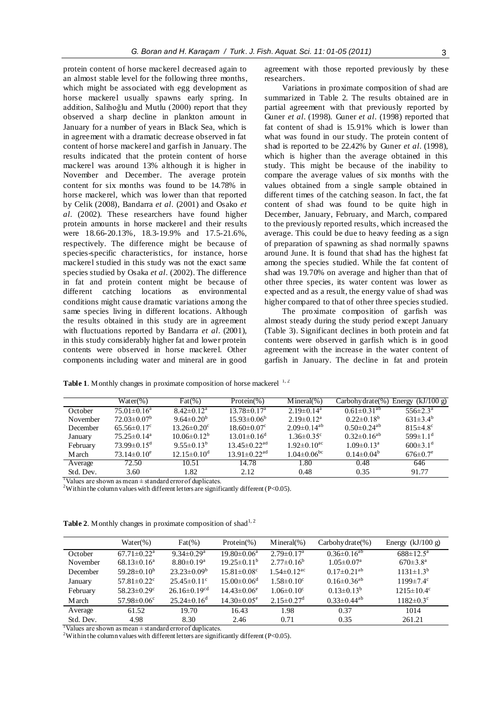protein content of horse mackerel decreased again to an almost stable level for the following three months, which might be associated with egg development as horse mackerel usually spawns early spring. In addition, Salihoğlu and Mutlu (2000) report that they observed a sharp decline in plankton amount in January for a number of years in Black Sea, which is in agreement with a dramatic decrease observed in fat content of horse mackerel and garfish in January. The results indicated that the protein content of horse mackerel was around 13% although it is higher in November and December. The average protein content for six months was found to be 14.78% in horse mackerel, which was lower than that reported by Celik (2008), Bandarra *et al*. (2001) and Osako *et al*. (2002). These researchers have found higher protein amounts in horse mackerel and their results were 18.66-20.13%, 18.3-19.9% and 17.5-21.6%, respectively. The difference might be because of species-specific characteristics, for instance, horse mackerel studied in this study was not the exact same species studied by Osaka *et al*. (2002). The difference in fat and protein content might be because of different catching locations as environmental conditions might cause dramatic variations among the same species living in different locations. Although the results obtained in this study are in agreement with fluctuations reported by Bandarra *et al*. (2001), in this study considerably higher fat and lower protein contents were observed in horse mackerel. Other components including water and mineral are in good agreement with those reported previously by these researchers.

Variations in proximate composition of shad are summarized in Table 2. The results obtained are in partial agreement with that previously reported by Guner *et al*. (1998). Guner *et al*. (1998) reported that fat content of shad is 15.91% which is lower than what was found in our study. The protein content of shad is reported to be 22.42% by Guner *et al*. (1998), which is higher than the average obtained in this study. This might be because of the inability to compare the average values of six months with the values obtained from a single sample obtained in different times of the catching season. In fact, the fat content of shad was found to be quite high in December, January, February, and March, compared to the previously reported results, which increased the average. This could be due to heavy feeding as a sign of preparation of spawning as shad normally spawns around June. It is found that shad has the highest fat among the species studied. While the fat content of shad was 19.70% on average and higher than that of other three species, its water content was lower as expected and as a result, the energy value of shad was higher compared to that of other three species studied.

The proximate composition of garfish was almost steady during the study period except January (Table 3). Significant declines in both protein and fat contents were observed in garfish which is in good agreement with the increase in the water content of garfish in January. The decline in fat and protein

Table 1. Monthly changes in proximate composition of horse mackerel <sup>1, 2</sup>

|           | $Water(\% )$                | $\text{Fat}(\% )$             | Protein $(\%)$                 | $Mineral(\%)$                 | $Carbohy drate(\%)$           | (kJ/100 g)<br>Energy       |
|-----------|-----------------------------|-------------------------------|--------------------------------|-------------------------------|-------------------------------|----------------------------|
| October   | $75.01 \pm 0.16^a$          | $8.42 \pm 0.12^a$             | $13.78 \pm 0.17^a$             | $2.19 \pm 0.14$ <sup>a</sup>  | $0.61 \pm 0.31^{ab}$          | $556 \pm 2.3^{\circ}$      |
| November  | $72.03 \pm 0.07^b$          | $9.64 \pm 0.20^b$             | $15.93\pm0.06^b$               | $2.19 \pm 0.12^a$             | $0.22 \pm 0.18^b$             | $631\pm34^{b}$             |
| December  | $65.56 \pm 0.17$ °          | $13.26 \pm 0.20^{\circ}$      | $18.60 \pm 0.07$ °             | $2.09 \pm 0.14^{ab}$          | $0.50 \pm 0.24$ <sup>ab</sup> | $815\pm4.8$ <sup>c</sup>   |
| January   | $75.25 \pm 0.14^a$          | $10.06\pm0.12^b$              | $13.01 \pm 0.16^{\circ}$       | $1.36 \pm 0.35$ <sup>c</sup>  | $0.32 \pm 0.16^{ab}$          | $599 \pm 1.1$ <sup>d</sup> |
| February  | $73.99 \pm 0.15^{\text{d}}$ | $9.55 \pm 0.13^b$             | $13.45 \pm 0.22$ <sup>ad</sup> | $1.92 \pm 0.10$ <sup>ac</sup> | $1.09 \pm 0.13^a$             | $600\pm3.1$ <sup>d</sup>   |
| M arch    | $73.14 \pm 0.10^e$          | $12.15 \pm 0.10^{\mathrm{d}}$ | $13.91 \pm 0.22$ <sup>ad</sup> | $1.04 \pm 0.06$ <sup>bc</sup> | $0.14 \pm 0.04^b$             | $676 \pm 0.7$ <sup>e</sup> |
| Average   | 72.50                       | 10.51                         | 14.78                          | 1.80                          | 0.48                          | 646                        |
| Std. Dev. | 3.60                        | 1.82                          | 2.12                           | 0.48                          | 0.35                          | 91.77                      |

<sup>1</sup>Values are shown as mean  $\pm$  standard error of duplicates.

<sup>2</sup>Within the column values with different letters are significantly different (P<0.05).

|           | Water $(\%)$                  | $\text{Fat}(\% )$            | Protein $(\% )$               | $Mineral(\% )$                | $Carbohy drate(\%)$           | Energy $(kJ/100 g)$         |
|-----------|-------------------------------|------------------------------|-------------------------------|-------------------------------|-------------------------------|-----------------------------|
| October   | $67.71 \pm 0.22$ <sup>a</sup> | $9.34 \pm 0.29$ <sup>a</sup> | $19.80 \pm 0.06^a$            | $2.79 \pm 0.17^{\text{a}}$    | $0.36 \pm 0.16^{ab}$          | $688 \pm 12.5^{\text{a}}$   |
| November  | $68.13 \pm 0.16^a$            | $8.80 \pm 0.19^a$            | $19.25 \pm 0.11^{\mathrm{b}}$ | $2.77\pm0.16^b$               | $1.05 \pm 0.07$ <sup>a</sup>  | $670 \pm 3.8^{\text{a}}$    |
| December  | $59.28 \pm 0.10^b$            | $23.23 \pm 0.09^b$           | $15.81 \pm 0.08$ <sup>c</sup> | $1.54 \pm 0.12$ <sup>ac</sup> | $0.17 \pm 0.21^{ab}$          | $1131 \pm 1.3^b$            |
| January   | $57.81 \pm 0.22$ <sup>c</sup> | $25.45\pm0.11^{\circ}$       | $15.00 \pm 0.06$ <sup>d</sup> | $1.58 \pm 0.10^c$             | $0.16 \pm 0.36$ <sup>ab</sup> | $1199 \pm 7.4$ <sup>c</sup> |
| February  | $58.23 \pm 0.29$ <sup>c</sup> | $26.16 \pm 0.19^{cd}$        | $14.43\pm0.06^e$              | $1.06 \pm 0.10^c$             | $0.13 \pm 0.13^b$             | $1215 \pm 10.4^{\circ}$     |
| M arch    | $57.98 \pm 0.06$ <sup>c</sup> | $25.24 \pm 0.16^d$           | $14.30 \pm 0.05^e$            | $2.15 \pm 0.27$ <sup>d</sup>  | $0.33 \pm 0.44$ <sup>ab</sup> | $1182 \pm 0.3$ <sup>c</sup> |
| Average   | 61.52                         | 19.70                        | 16.43                         | 1.98                          | 0.37                          | 1014                        |
| Std. Dev. | 4.98                          | 8.30                         | 2.46                          | 0.71                          | 0.35                          | 261.21                      |

**Table 2.** Monthly changes in proximate composition of shad<sup>1, 2</sup>

 $\frac{1}{1}$ Values are shown as mean  $\pm$  standard error of duplicates.

<sup>2</sup>Within the column values with different letters are significantly different (P<0.05).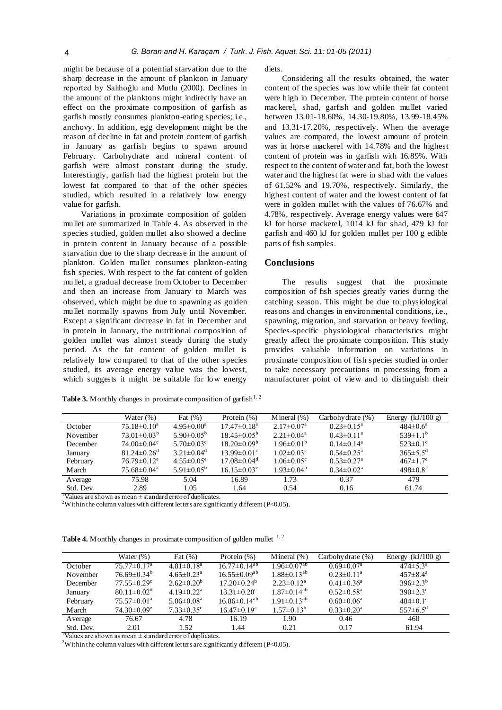might be because of a potential starvation due to the sharp decrease in the amount of plankton in January reported by Salihoğlu and Mutlu (2000). Declines in the amount of the planktons might indirectly have an effect on the proximate composition of garfish as garfish mostly consumes plankton-eating species; i.e., anchovy. In addition, egg development might be the reason of decline in fat and protein content of garfish in January as garfish begins to spawn around February. Carbohydrate and mineral content of garfish were almost constant during the study. Interestingly, garfish had the highest protein but the lowest fat compared to that of the other species studied, which resulted in a relatively low energy value for garfish.

Variations in proximate composition of golden mullet are summarized in Table 4. As observed in the species studied, golden mullet also showed a decline in protein content in January because of a possible starvation due to the sharp decrease in the amount of plankton. Golden mullet consumes plankton-eating fish species. With respect to the fat content of golden mullet, a gradual decrease from October to December and then an increase from January to March was observed, which might be due to spawning as golden mullet normally spawns from July until November. Except a significant decrease in fat in December and in protein in January, the nutritional composition of golden mullet was almost steady during the study period. As the fat content of golden mullet is relatively low compared to that of the other species studied, its average energy value was the lowest, which suggests it might be suitable for low energy diets.

Considering all the results obtained, the water content of the species was low while their fat content were high in December. The protein content of horse mackerel, shad, garfish and golden mullet varied between 13.01-18.60%, 14.30-19.80%, 13.99-18.45% and 13.31-17.20%, respectively. When the average values are compared, the lowest amount of protein was in horse mackerel with 14.78% and the highest content of protein was in garfish with 16.89%. With respect to the content of water and fat, both the lowest water and the highest fat were in shad with the values of 61.52% and 19.70%, respectively. Similarly, the highest content of water and the lowest content of fat were in golden mullet with the values of 76.67% and 4.78%, respectively. Average energy values were 647 kJ for horse mackerel, 1014 kJ for shad, 479 kJ for garfish and 460 kJ for golden mullet per 100 g edible parts of fish samples.

#### **Conclusions**

The results suggest that the proximate composition of fish species greatly varies during the catching season. This might be due to physiological reasons and changes in environmental conditions, i.e., spawning, migration, and starvation or heavy feeding. Species-specific physiological characteristics might greatly affect the proximate composition. This study provides valuable information on variations in proximate composition of fish species studied in order to take necessary precautions in processing from a manufacturer point of view and to distinguish their

|               | Water $(\%)$                  | Fat $(\%)$                   | Protein $(\%)$                | Mineral $(\%)$               | Carbohy drate (%)            | Energy $(kJ/100 g)$        |
|---------------|-------------------------------|------------------------------|-------------------------------|------------------------------|------------------------------|----------------------------|
| October       | $75.18 \pm 0.10^{\mathrm{a}}$ | $4.95 \pm 0.00^a$            | $17.47\pm0.18^{\text{a}}$     | $2.17 \pm 0.07^{\text{a}}$   | $0.23 \pm 0.15^a$            | $484 \pm 0.6^a$            |
| November      | $73.01 \pm 0.03^b$            | $5.90 \pm 0.05^{\rm b}$      | $18.45 \pm 0.05^{\rm b}$      | $2.21 \pm 0.04^a$            | $0.43 \pm 0.11^a$            | $539 \pm 1.1^b$            |
| December      | $74.00 \pm 0.04$ <sup>c</sup> | $5.70 \pm 0.03$ <sup>c</sup> | $18.20 \pm 0.09^b$            | $1.96\pm0.01^{b}$            | $0.14 \pm 0.14^a$            | $523 \pm 0.1$ °            |
| January       | $81.24 \pm 0.26$ <sup>d</sup> | $3.21 \pm 0.04$ <sup>d</sup> | $13.99 \pm 0.01$ <sup>c</sup> | $1.02 \pm 0.03$ <sup>c</sup> | $0.54 \pm 0.25^{\text{a}}$   | $365 \pm 5.5^{\rm d}$      |
| February      | $76.79 \pm 0.12$ <sup>e</sup> | $4.55 \pm 0.05^e$            | $17.08 \pm 0.04$ <sup>d</sup> | $1.06 \pm 0.05$ <sup>c</sup> | $0.53 \pm 0.27$ <sup>a</sup> | $467 \pm 1.7$ <sup>e</sup> |
| <b>M</b> arch | $75.68 \pm 0.04$ <sup>a</sup> | $5.91 \pm 0.05^{\rm b}$      | $16.15 \pm 0.03^e$            | $1.93 \pm 0.04^b$            | $0.34 \pm 0.02^{\text{a}}$   | $498 \pm 0.8$ <sup>f</sup> |
| Average       | 75.98                         | 5.04                         | 16.89                         | 1.73                         | 0.37                         | 479                        |
| Std. Dev.     | 2.89                          | 1.05                         | 1.64                          | 0.54                         | 0.16                         | 61.74                      |

**Table 3.** Monthly changes in proximate composition of garfish<sup>1, 2</sup>

Values are shown as mean  $\pm$  standard error of duplicates.

<sup>2</sup>Within the column values with different letters are significantly different (P<0.05).

**Table 4.** Monthly changes in proximate composition of golden mullet  $1, 2$ 

|               | Water $(\%)$                  | Fat $(\%)$                   | Protein $(\% )$          | Mineral $(\%)$                | Carbohy drate (%)            | Energy $(kJ/100 g)$        |
|---------------|-------------------------------|------------------------------|--------------------------|-------------------------------|------------------------------|----------------------------|
| October       | $75.77 \pm 0.17^{\mathrm{a}}$ | $4.81 \pm 0.18$ <sup>a</sup> | $16.77 \pm 0.14^{ab}$    | $1.96 \pm 0.07$ <sup>ab</sup> | $0.69 \pm 0.07^{\rm a}$      | $474 \pm 5.3^{\text{a}}$   |
| November      | $76.69 \pm 0.34^b$            | $4.65 \pm 0.23$ <sup>a</sup> | $16.55 \pm 0.09^{ab}$    | $1.88 \pm 0.13^{ab}$          | $0.23 \pm 0.11^a$            | $457 \pm 8.4^{\rm a}$      |
| December      | $77.55 \pm 0.29$ <sup>c</sup> | $2.62 \pm 0.20^b$            | $17.20 \pm 0.24^b$       | $2.23 \pm 0.12^a$             | $0.41 \pm 0.36^a$            | $396\pm2.3^{b}$            |
| January       | $80.11 \pm 0.02$ <sup>d</sup> | $4.19 \pm 0.22$ <sup>a</sup> | $13.31 \pm 0.20^{\circ}$ | $1.87 \pm 0.14^{ab}$          | $0.52 \pm 0.58$ <sup>a</sup> | $390 \pm 2.3$ <sup>c</sup> |
| February      | $75.57 \pm 0.01^{\text{a}}$   | $5.06 \pm 0.08$ <sup>a</sup> | $16.86\pm0.14^{ab}$      | $1.91 \pm 0.13^{ab}$          | $0.60 \pm 0.06^a$            | $484 \pm 0.1^a$            |
| <b>M</b> arch | $74.30 \pm 0.09^e$            | $7.33 \pm 0.35$ <sup>c</sup> | $16.47 \pm 0.19^a$       | $1.57 \pm 0.13^b$             | $0.33 \pm 0.20^a$            | $557 \pm 6.5^{\rm d}$      |
| Average       | 76.67                         | 4.78                         | 16.19                    | 1.90                          | 0.46                         | 460                        |
| Std. Dev.     | 2.01                          | 1.52                         | 1.44                     | 0.21                          | 0.17                         | 61.94                      |

 $\frac{1}{1}$ Values are shown as mean  $\pm$  standard error of duplicates.

<sup>2</sup>Within the column values with different letters are significantly different (P<0.05).